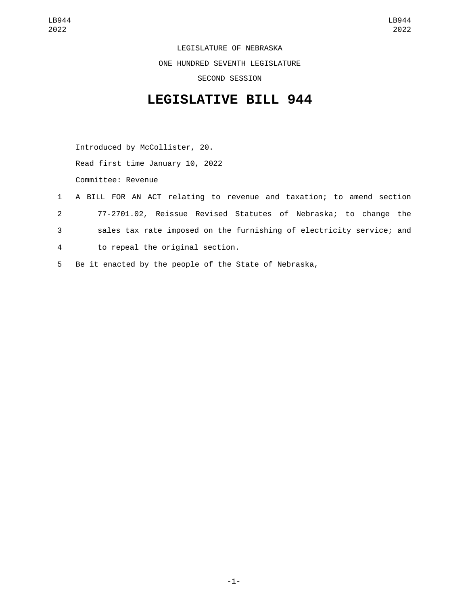LEGISLATURE OF NEBRASKA ONE HUNDRED SEVENTH LEGISLATURE SECOND SESSION

## **LEGISLATIVE BILL 944**

Introduced by McCollister, 20.

Read first time January 10, 2022

Committee: Revenue

- 1 A BILL FOR AN ACT relating to revenue and taxation; to amend section 2 77-2701.02, Reissue Revised Statutes of Nebraska; to change the 3 sales tax rate imposed on the furnishing of electricity service; and to repeal the original section.4
- 5 Be it enacted by the people of the State of Nebraska,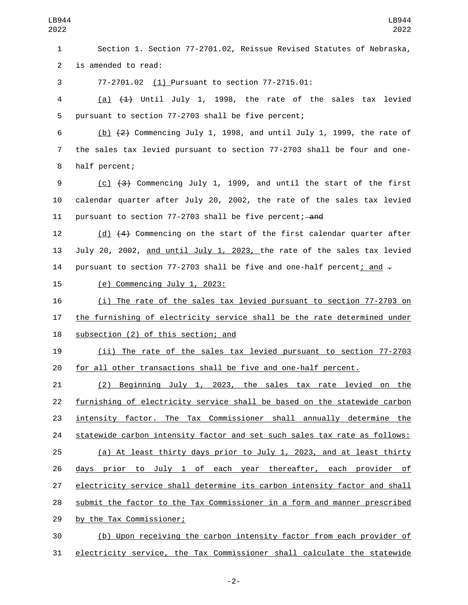| LB944<br>2022  | LB944<br>2022                                                             |
|----------------|---------------------------------------------------------------------------|
| 1              | Section 1. Section 77-2701.02, Reissue Revised Statutes of Nebraska,      |
| $\overline{2}$ | is amended to read:                                                       |
| 3              | 77-2701.02 (1) Pursuant to section 77-2715.01:                            |
| 4              | (a) $(4)$ Until July 1, 1998, the rate of the sales tax levied            |
| 5              | pursuant to section 77-2703 shall be five percent;                        |
| 6              | $(b)$ $(2)$ Commencing July 1, 1998, and until July 1, 1999, the rate of  |
| 7              | the sales tax levied pursuant to section 77-2703 shall be four and one-   |
| 8              | half percent;                                                             |
| 9              | (c) (3) Commencing July 1, 1999, and until the start of the first         |
| 10             | calendar quarter after July 20, 2002, the rate of the sales tax levied    |
| 11             | pursuant to section 77-2703 shall be five percent; and                    |
| 12             | (d) (4) Commencing on the start of the first calendar quarter after       |
| 13             | July 20, 2002, and until July 1, 2023, the rate of the sales tax levied   |
| 14             | pursuant to section 77-2703 shall be five and one-half percent; and $-$   |
| 15             | $(e)$ Commencing July 1, 2023:                                            |
| 16             | (i) The rate of the sales tax levied pursuant to section 77-2703 on       |
| 17             | the furnishing of electricity service shall be the rate determined under  |
| 18             | subsection (2) of this section; and                                       |
| 19             | (ii) The rate of the sales tax levied pursuant to section 77-2703         |
| 20             | for all other transactions shall be five and one-half percent.            |
| 21             | (2) Beginning July 1, 2023, the sales tax rate levied on the              |
| 22             | furnishing of electricity service shall be based on the statewide carbon  |
| 23             | intensity factor. The Tax Commissioner shall annually determine the       |
| 24             | statewide carbon intensity factor and set such sales tax rate as follows: |
| 25             | (a) At least thirty days prior to July 1, 2023, and at least thirty       |
| 26             | days prior to July 1 of each year thereafter, each provider of            |
| 27             | electricity service shall determine its carbon intensity factor and shall |
| 28             | submit the factor to the Tax Commissioner in a form and manner prescribed |
| 29             | by the Tax Commissioner;                                                  |
| 30             | (b) Upon receiving the carbon intensity factor from each provider of      |
| 31             | electricity service, the Tax Commissioner shall calculate the statewide   |

-2-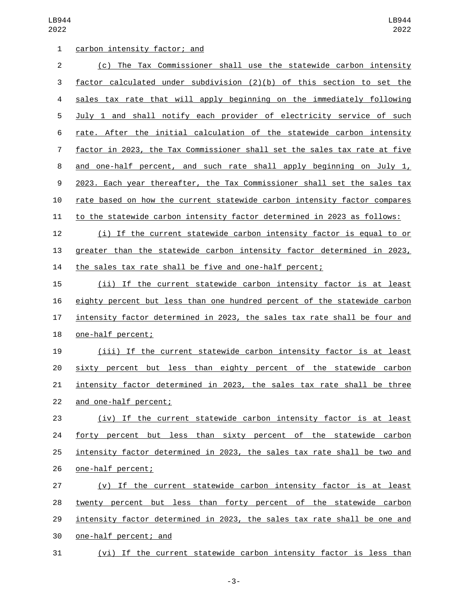LB944 

| 1              | carbon intensity factor; and                                              |
|----------------|---------------------------------------------------------------------------|
| $\mathbf{2}$   | (c) The Tax Commissioner shall use the statewide carbon intensity         |
| 3              | factor calculated under subdivision (2)(b) of this section to set the     |
| 4              | sales tax rate that will apply beginning on the immediately following     |
| 5              | July 1 and shall notify each provider of electricity service of such      |
| 6              | rate. After the initial calculation of the statewide carbon intensity     |
| $\overline{7}$ | factor in 2023, the Tax Commissioner shall set the sales tax rate at five |
| 8              | and one-half percent, and such rate shall apply beginning on July 1,      |
| $9\,$          | 2023. Each year thereafter, the Tax Commissioner shall set the sales tax  |
| 10             | rate based on how the current statewide carbon intensity factor compares  |
| 11             | to the statewide carbon intensity factor determined in 2023 as follows:   |
| 12             | (i) If the current statewide carbon intensity factor is equal to or       |
| 13             | greater than the statewide carbon intensity factor determined in 2023,    |
| 14             | the sales tax rate shall be five and one-half percent;                    |
| 15             | (ii) If the current statewide carbon intensity factor is at least         |
| 16             | eighty percent but less than one hundred percent of the statewide carbon  |
| 17             | intensity factor determined in 2023, the sales tax rate shall be four and |
| 18             | one-half percent;                                                         |
| 19             | (iii) If the current statewide carbon intensity factor is at least        |
| 20             | sixty percent but less than eighty percent of the statewide carbon        |
| 21             | intensity factor determined in 2023, the sales tax rate shall be three    |
| 22             | and one-half percent;                                                     |
| 23             | (iv) If the current statewide carbon intensity factor is at least         |
| 24             | forty percent but less than sixty percent of the statewide carbon         |
| 25             | intensity factor determined in 2023, the sales tax rate shall be two and  |
| 26             | one-half percent;                                                         |
| 27             | (v) If the current statewide carbon intensity factor is at least          |
| 28             | twenty percent but less than forty percent of the statewide carbon        |
| 29             | intensity factor determined in 2023, the sales tax rate shall be one and  |
| 30             | one-half percent; and                                                     |
|                |                                                                           |

(vi) If the current statewide carbon intensity factor is less than

-3-